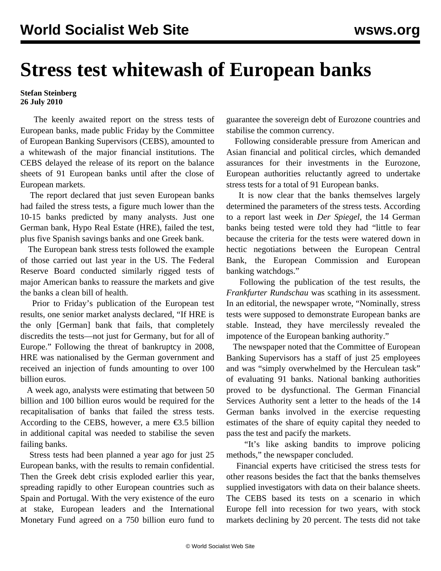## **Stress test whitewash of European banks**

## **Stefan Steinberg 26 July 2010**

 The keenly awaited report on the stress tests of European banks, made public Friday by the Committee of European Banking Supervisors (CEBS), amounted to a whitewash of the major financial institutions. The CEBS delayed the release of its report on the balance sheets of 91 European banks until after the close of European markets.

 The report declared that just seven European banks had failed the stress tests, a figure much lower than the 10-15 banks predicted by many analysts. Just one German bank, Hypo Real Estate (HRE), failed the test, plus five Spanish savings banks and one Greek bank.

 The European bank stress tests followed the example of those carried out last year in the US. The Federal Reserve Board conducted similarly rigged tests of major American banks to reassure the markets and give the banks a clean bill of health.

 Prior to Friday's publication of the European test results, one senior market analysts declared, "If HRE is the only [German] bank that fails, that completely discredits the tests—not just for Germany, but for all of Europe." Following the threat of bankruptcy in 2008, HRE was nationalised by the German government and received an injection of funds amounting to over 100 billion euros.

 A week ago, analysts were estimating that between 50 billion and 100 billion euros would be required for the recapitalisation of banks that failed the stress tests. According to the CEBS, however, a mere  $\epsilon$ 3.5 billion in additional capital was needed to stabilise the seven failing banks.

 Stress tests had been planned a year ago for just 25 European banks, with the results to remain confidential. Then the Greek debt crisis exploded earlier this year, spreading rapidly to other European countries such as Spain and Portugal. With the very existence of the euro at stake, European leaders and the International Monetary Fund agreed on a 750 billion euro fund to

guarantee the sovereign debt of Eurozone countries and stabilise the common currency.

 Following considerable pressure from American and Asian financial and political circles, which demanded assurances for their investments in the Eurozone, European authorities reluctantly agreed to undertake stress tests for a total of 91 European banks.

 It is now clear that the banks themselves largely determined the parameters of the stress tests. According to a report last week in *Der Spiegel*, the 14 German banks being tested were told they had "little to fear because the criteria for the tests were watered down in hectic negotiations between the European Central Bank, the European Commission and European banking watchdogs."

 Following the publication of the test results, the *Frankfurter Rundschau* was scathing in its assessment. In an editorial, the newspaper wrote, "Nominally, stress tests were supposed to demonstrate European banks are stable. Instead, they have mercilessly revealed the impotence of the European banking authority."

 The newspaper noted that the Committee of European Banking Supervisors has a staff of just 25 employees and was "simply overwhelmed by the Herculean task" of evaluating 91 banks. National banking authorities proved to be dysfunctional. The German Financial Services Authority sent a letter to the heads of the 14 German banks involved in the exercise requesting estimates of the share of equity capital they needed to pass the test and pacify the markets.

 "It's like asking bandits to improve policing methods," the newspaper concluded.

 Financial experts have criticised the stress tests for other reasons besides the fact that the banks themselves supplied investigators with data on their balance sheets. The CEBS based its tests on a scenario in which Europe fell into recession for two years, with stock markets declining by 20 percent. The tests did not take